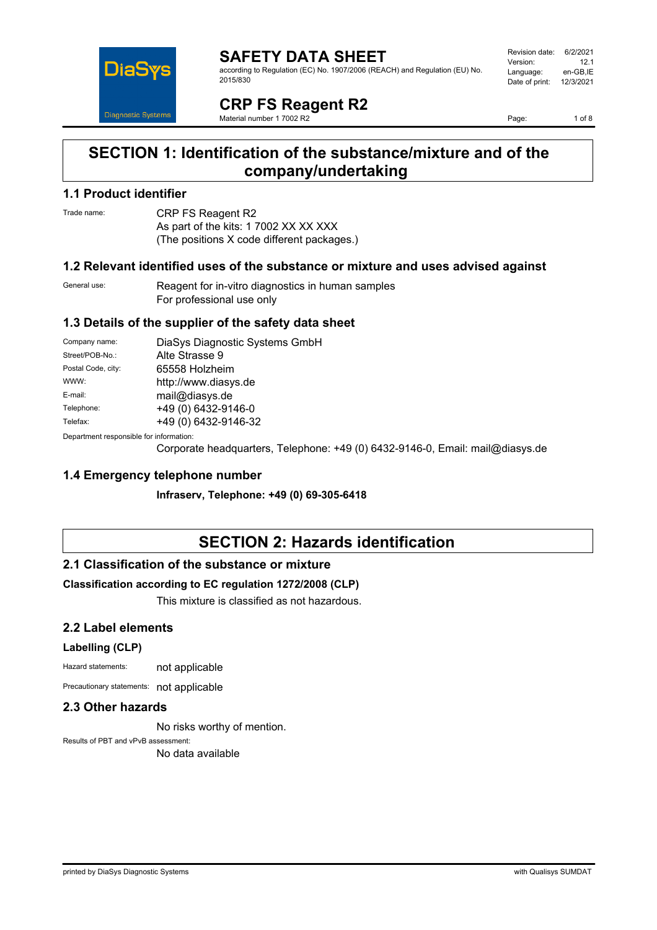

**SAFETY DATA SHEET** according to Regulation (EC) No. 1907/2006 (REACH) and Regulation (EU) No. 2015/830

Revision date: 6/2/2021 Version: 12.1 Language: en-GB,IE Date of print: 12/3/2021

**CRP FS Reagent R2** Material number 1 7002 R2

Page: 1 of 8

## **SECTION 1: Identification of the substance/mixture and of the company/undertaking**

### **1.1 Product identifier**

Trade name: CRP FS Reagent R2 As part of the kits: 1 7002 XX XX XXX (The positions X code different packages.)

### **1.2 Relevant identified uses of the substance or mixture and uses advised against**

General use: Reagent for in-vitro diagnostics in human samples For professional use only

### **1.3 Details of the supplier of the safety data sheet**

| Company name:                            | DiaSys Diagnostic Systems GmbH |
|------------------------------------------|--------------------------------|
| Street/POB-No.:                          | Alte Strasse 9                 |
| Postal Code, city:                       | 65558 Holzheim                 |
| WWW:                                     | http://www.diasys.de           |
| E-mail:                                  | mail@diasys.de                 |
| Telephone:                               | +49 (0) 6432-9146-0            |
| Telefax:                                 | +49 (0) 6432-9146-32           |
| Denemberek vernemaikte fan informaatien: |                                |

Department responsible for information:

Corporate headquarters, Telephone: +49 (0) 6432-9146-0, Email: mail@diasys.de

### **1.4 Emergency telephone number**

**Infraserv, Telephone: +49 (0) 69-305-6418**

## **SECTION 2: Hazards identification**

### **2.1 Classification of the substance or mixture**

### **Classification according to EC regulation 1272/2008 (CLP)**

This mixture is classified as not hazardous.

### **2.2 Label elements**

#### **Labelling (CLP)**

Hazard statements: not applicable

Precautionary statements: not applicable

### **2.3 Other hazards**

No risks worthy of mention.

Results of PBT and vPvB assessment: No data available

printed by DiaSys Diagnostic Systems with Qualisys SUMDAT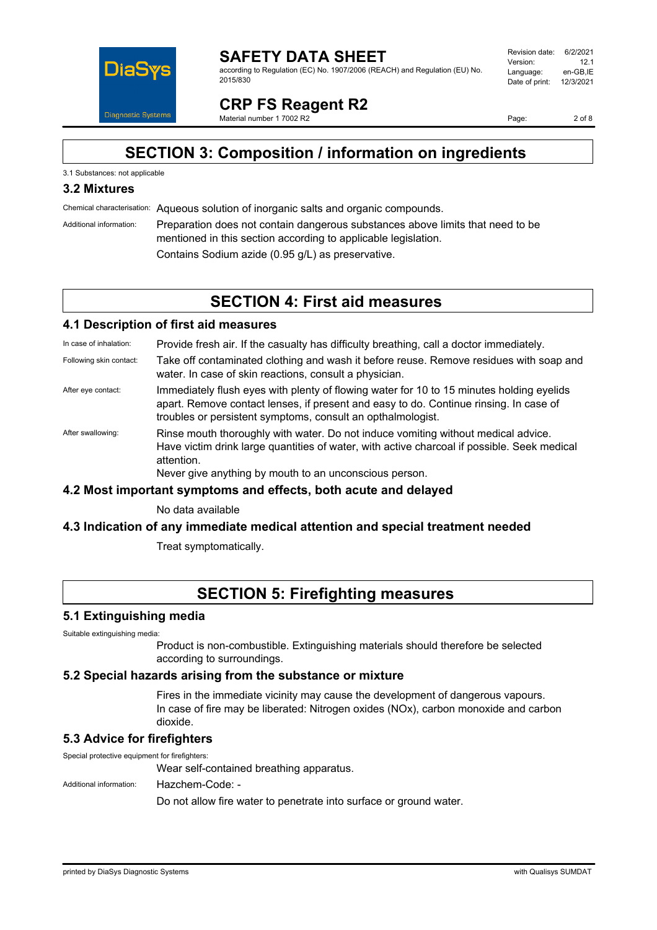

#### **SAFETY DATA SHEET** according to Regulation (EC) No. 1907/2006 (REACH) and Regulation (EU) No. 2015/830

| Revision date: | 6/2/2021  |
|----------------|-----------|
| Version:       | 121       |
| Language:      | en-GB.IE  |
| Date of print: | 12/3/2021 |
|                |           |

**CRP FS Reagent R2** Material number 1 7002 R2

Page: 2 of 8

# **SECTION 3: Composition / information on ingredients**

### 3.1 Substances: not applicable

### **3.2 Mixtures**

Chemical characterisation: Aqueous solution of inorganic salts and organic compounds.

Additional information: Preparation does not contain dangerous substances above limits that need to be mentioned in this section according to applicable legislation. Contains Sodium azide (0.95 g/L) as preservative.

## **SECTION 4: First aid measures**

### **4.1 Description of first aid measures**

In case of inhalation: Provide fresh air. If the casualty has difficulty breathing, call a doctor immediately.

- Following skin contact: Take off contaminated clothing and wash it before reuse. Remove residues with soap and water. In case of skin reactions, consult a physician.
- After eye contact: Immediately flush eyes with plenty of flowing water for 10 to 15 minutes holding eyelids apart. Remove contact lenses, if present and easy to do. Continue rinsing. In case of troubles or persistent symptoms, consult an opthalmologist.
- After swallowing: Rinse mouth thoroughly with water. Do not induce vomiting without medical advice. Have victim drink large quantities of water, with active charcoal if possible. Seek medical attention.

Never give anything by mouth to an unconscious person.

### **4.2 Most important symptoms and effects, both acute and delayed**

No data available

### **4.3 Indication of any immediate medical attention and special treatment needed**

Treat symptomatically.

## **SECTION 5: Firefighting measures**

#### **5.1 Extinguishing media**

Suitable extinguishing media:

Product is non-combustible. Extinguishing materials should therefore be selected according to surroundings.

### **5.2 Special hazards arising from the substance or mixture**

Fires in the immediate vicinity may cause the development of dangerous vapours. In case of fire may be liberated: Nitrogen oxides (NOx), carbon monoxide and carbon dioxide.

### **5.3 Advice for firefighters**

Special protective equipment for firefighters:

Wear self-contained breathing apparatus.

Additional information: Hazchem-Code: -

Do not allow fire water to penetrate into surface or ground water.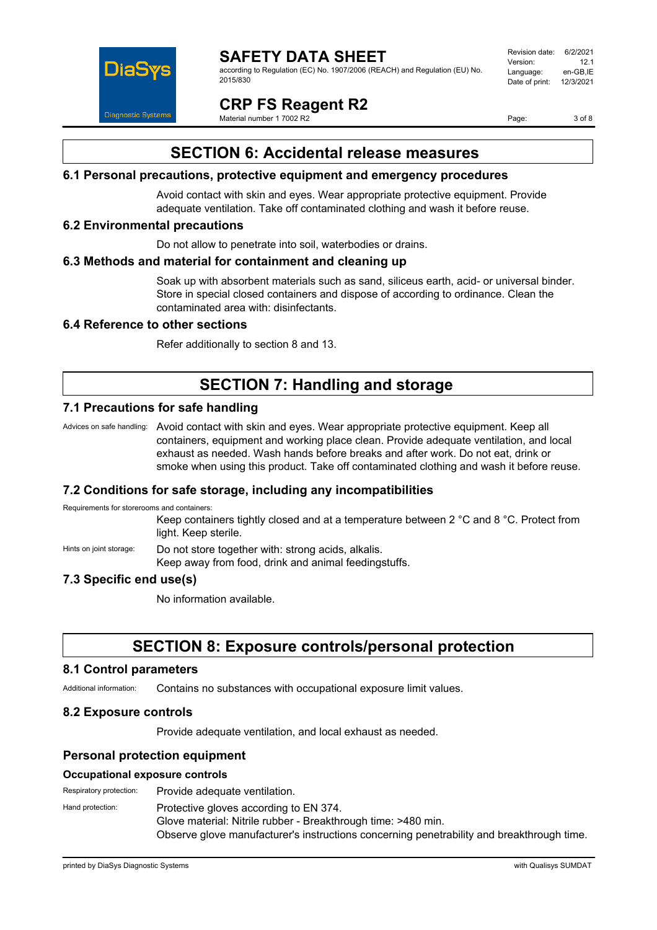

according to Regulation (EC) No. 1907/2006 (REACH) and Regulation (EU) No. 2015/830

Revision date: 6/2/2021 Version: 12.1<br>Language: en-GB IE Language: Date of print: 12/3/2021

## **CRP FS Reagent R2**

Material number 1 7002 R2

Page: 3 of 8

# **SECTION 6: Accidental release measures**

### **6.1 Personal precautions, protective equipment and emergency procedures**

Avoid contact with skin and eyes. Wear appropriate protective equipment. Provide adequate ventilation. Take off contaminated clothing and wash it before reuse.

### **6.2 Environmental precautions**

Do not allow to penetrate into soil, waterbodies or drains.

### **6.3 Methods and material for containment and cleaning up**

Soak up with absorbent materials such as sand, siliceus earth, acid- or universal binder. Store in special closed containers and dispose of according to ordinance. Clean the contaminated area with: disinfectants.

### **6.4 Reference to other sections**

Refer additionally to section 8 and 13.

# **SECTION 7: Handling and storage**

### **7.1 Precautions for safe handling**

Advices on safe handling: Avoid contact with skin and eyes. Wear appropriate protective equipment. Keep all containers, equipment and working place clean. Provide adequate ventilation, and local exhaust as needed. Wash hands before breaks and after work. Do not eat, drink or smoke when using this product. Take off contaminated clothing and wash it before reuse.

### **7.2 Conditions for safe storage, including any incompatibilities**

Requirements for storerooms and containers:

Keep containers tightly closed and at a temperature between 2 °C and 8 °C. Protect from light. Keep sterile.

Hints on joint storage: Do not store together with: strong acids, alkalis.

Keep away from food, drink and animal feedingstuffs.

### **7.3 Specific end use(s)**

No information available.

# **SECTION 8: Exposure controls/personal protection**

### **8.1 Control parameters**

Additional information: Contains no substances with occupational exposure limit values.

### **8.2 Exposure controls**

Provide adequate ventilation, and local exhaust as needed.

### **Personal protection equipment**

### **Occupational exposure controls**

| Respiratory protection: | Provide adequate ventilation.                                                                                                                                                                        |
|-------------------------|------------------------------------------------------------------------------------------------------------------------------------------------------------------------------------------------------|
| Hand protection:        | Protective gloves according to EN 374.<br>Glove material: Nitrile rubber - Breakthrough time: >480 min.<br>Observe glove manufacturer's instructions concerning penetrability and breakthrough time. |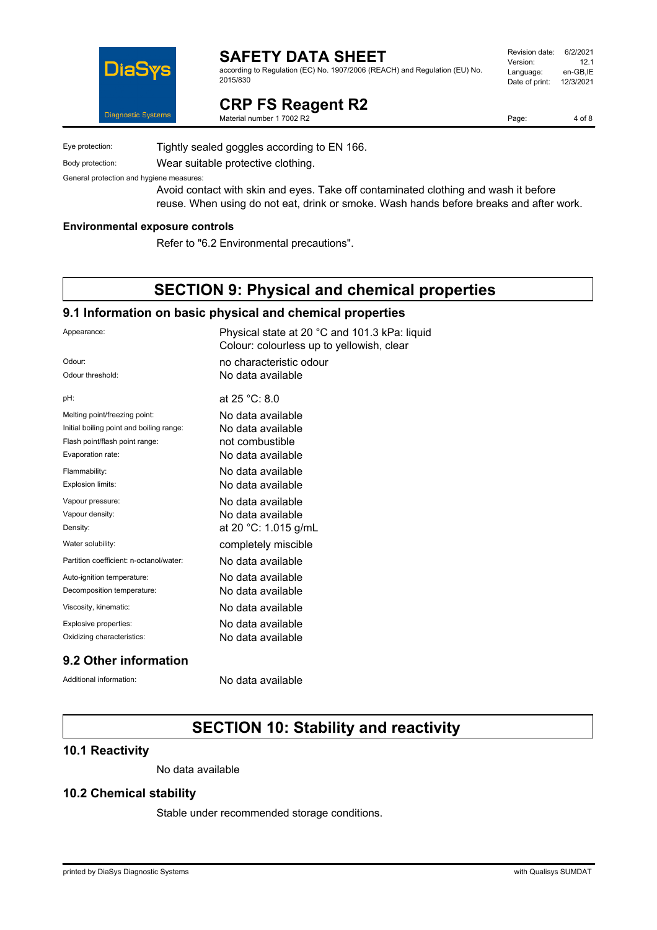

**CRP FS Reagent R2**

according to Regulation (EC) No. 1907/2006 (REACH) and Regulation (EU) No. 2015/830

#### Revision date: 6/2/2021<br>Version: 12.1 Version: 12.1<br>Language: en-GB,IE Language: Date of print: 12/3/2021

Page: 4 of 8

Eye protection: Tightly sealed goggles according to EN 166.

Material number 1 7002 R2

Body protection: Wear suitable protective clothing.

General protection and hygiene measures:

Avoid contact with skin and eyes. Take off contaminated clothing and wash it before reuse. When using do not eat, drink or smoke. Wash hands before breaks and after work.

#### **Environmental exposure controls**

Refer to "6.2 Environmental precautions".

## **SECTION 9: Physical and chemical properties**

### **9.1 Information on basic physical and chemical properties**

| Appearance:                              | Physical state at 20 °C and 101.3 kPa: liquid<br>Colour: colourless up to yellowish, clear |
|------------------------------------------|--------------------------------------------------------------------------------------------|
| Odour <sup>-</sup>                       | no characteristic odour                                                                    |
| Odour threshold:                         | No data available                                                                          |
| pH:                                      | at 25 °C: 8.0                                                                              |
| Melting point/freezing point:            | No data available                                                                          |
| Initial boiling point and boiling range: | No data available                                                                          |
| Flash point/flash point range:           | not combustible                                                                            |
| Evaporation rate:                        | No data available                                                                          |
| Flammability:                            | No data available                                                                          |
| Explosion limits:                        | No data available                                                                          |
| Vapour pressure:                         | No data available                                                                          |
| Vapour density:                          | No data available                                                                          |
| Density:                                 | at 20 °C: 1.015 g/mL                                                                       |
| Water solubility:                        | completely miscible                                                                        |
| Partition coefficient: n-octanol/water:  | No data available                                                                          |
| Auto-ignition temperature:               | No data available                                                                          |
| Decomposition temperature:               | No data available                                                                          |
| Viscosity, kinematic:                    | No data available                                                                          |
| Explosive properties:                    | No data available                                                                          |
| Oxidizing characteristics:               | No data available                                                                          |
|                                          |                                                                                            |

### **9.2 Other information**

Additional information: No data available

### **SECTION 10: Stability and reactivity**

### **10.1 Reactivity**

No data available

### **10.2 Chemical stability**

Stable under recommended storage conditions.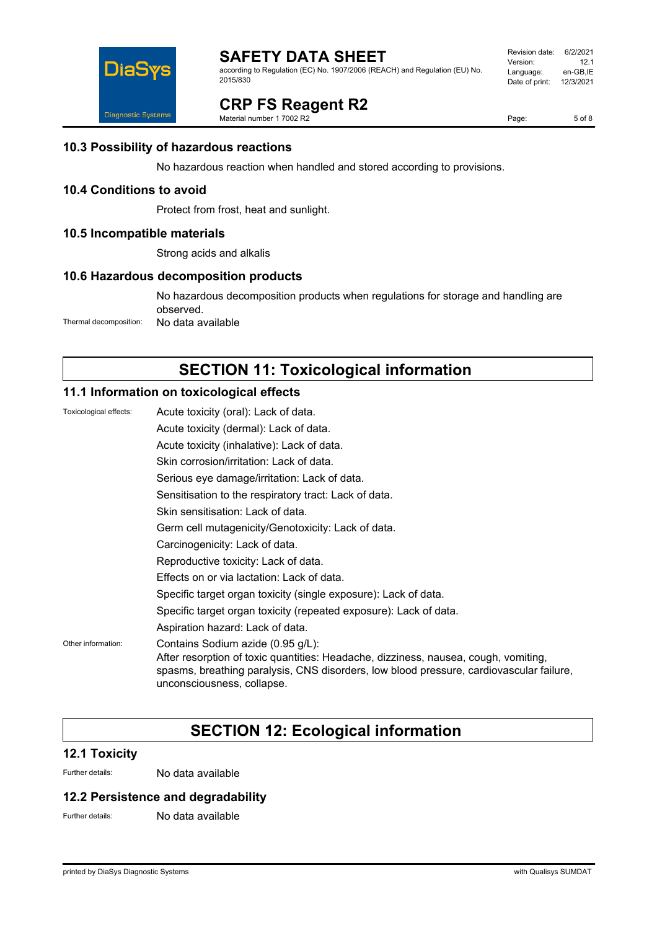

according to Regulation (EC) No. 1907/2006 (REACH) and Regulation (EU) No. 2015/830

#### Revision date: 6/2/2021<br>Version: 12.1 Version: 12.1<br>Language: en-GB,IE Language: Date of print: 12/3/2021

**CRP FS Reagent R2**

Material number 1 7002 R2

Page: 5 of 8

### **10.3 Possibility of hazardous reactions**

No hazardous reaction when handled and stored according to provisions.

### **10.4 Conditions to avoid**

Protect from frost, heat and sunlight.

#### **10.5 Incompatible materials**

Strong acids and alkalis

#### **10.6 Hazardous decomposition products**

No hazardous decomposition products when regulations for storage and handling are observed. Thermal decomposition: No data available

# **SECTION 11: Toxicological information**

### **11.1 Information on toxicological effects**

| Toxicological effects: | Acute toxicity (oral): Lack of data.                                                                                                                                                                                                              |
|------------------------|---------------------------------------------------------------------------------------------------------------------------------------------------------------------------------------------------------------------------------------------------|
|                        | Acute toxicity (dermal): Lack of data.                                                                                                                                                                                                            |
|                        | Acute toxicity (inhalative): Lack of data.                                                                                                                                                                                                        |
|                        | Skin corrosion/irritation: Lack of data.                                                                                                                                                                                                          |
|                        | Serious eye damage/irritation: Lack of data.                                                                                                                                                                                                      |
|                        | Sensitisation to the respiratory tract: Lack of data.                                                                                                                                                                                             |
|                        | Skin sensitisation: Lack of data.                                                                                                                                                                                                                 |
|                        | Germ cell mutagenicity/Genotoxicity: Lack of data.                                                                                                                                                                                                |
|                        | Carcinogenicity: Lack of data.                                                                                                                                                                                                                    |
|                        | Reproductive toxicity: Lack of data.                                                                                                                                                                                                              |
|                        | Effects on or via lactation: Lack of data.                                                                                                                                                                                                        |
|                        | Specific target organ toxicity (single exposure): Lack of data.                                                                                                                                                                                   |
|                        | Specific target organ toxicity (repeated exposure): Lack of data.                                                                                                                                                                                 |
|                        | Aspiration hazard: Lack of data.                                                                                                                                                                                                                  |
| Other information:     | Contains Sodium azide (0.95 g/L):<br>After resorption of toxic quantities: Headache, dizziness, nausea, cough, vomiting,<br>spasms, breathing paralysis, CNS disorders, low blood pressure, cardiovascular failure,<br>unconsciousness, collapse. |

### **SECTION 12: Ecological information**

### **12.1 Toxicity**

Further details: No data available

### **12.2 Persistence and degradability**

Further details: No data available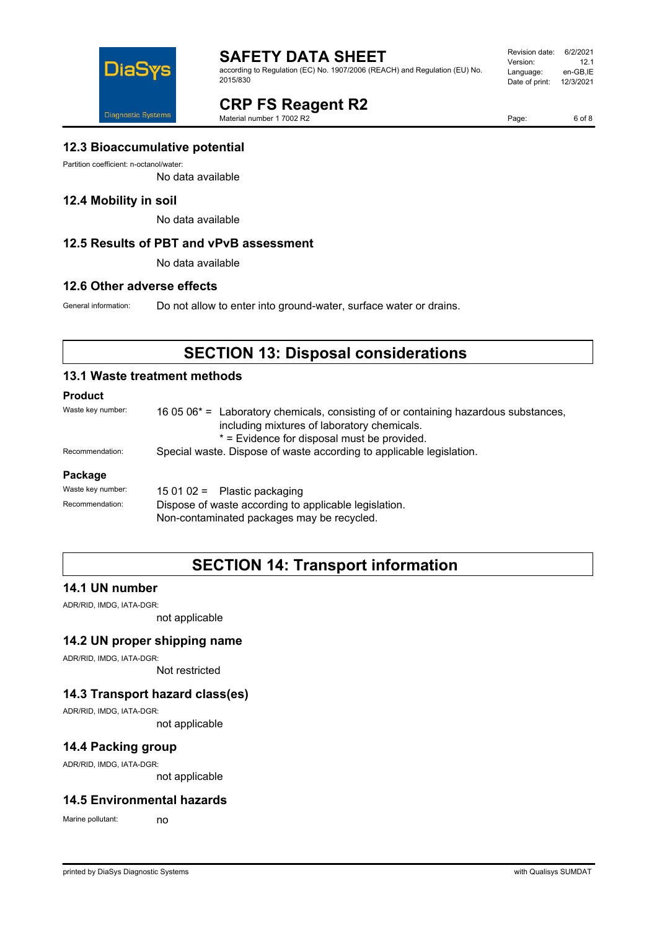

according to Regulation (EC) No. 1907/2006 (REACH) and Regulation (EU) No. 2015/830

#### Revision date: 6/2/2021<br>Version: 12.1 Version: 12.1<br>Language: en-GB,IE Language: Date of print: 12/3/2021

# **CRP FS Reagent R2**

Material number 1 7002 R2

Page: 6 of 8

**12.3 Bioaccumulative potential**

Partition coefficient: n-octanol/water:

No data available

### **12.4 Mobility in soil**

No data available

### **12.5 Results of PBT and vPvB assessment**

No data available

### **12.6 Other adverse effects**

General information: Do not allow to enter into ground-water, surface water or drains.

## **SECTION 13: Disposal considerations**

### **13.1 Waste treatment methods**

### **Product**

| Waste key number: | 16 05 06 <sup>*</sup> = Laboratory chemicals, consisting of or containing hazardous substances,<br>including mixtures of laboratory chemicals.<br>* = Evidence for disposal must be provided. |  |
|-------------------|-----------------------------------------------------------------------------------------------------------------------------------------------------------------------------------------------|--|
| Recommendation:   | Special waste. Dispose of waste according to applicable legislation.                                                                                                                          |  |
| Package           |                                                                                                                                                                                               |  |
| Waste key number: | $150102 =$ Plastic packaging                                                                                                                                                                  |  |
| Recommendation:   | Dispose of waste according to applicable legislation.                                                                                                                                         |  |

Non-contaminated packages may be recycled.

## **SECTION 14: Transport information**

### **14.1 UN number**

ADR/RID, IMDG, IATA-DGR:

not applicable

### **14.2 UN proper shipping name**

ADR/RID, IMDG, IATA-DGR:

Not restricted

### **14.3 Transport hazard class(es)**

ADR/RID, IMDG, IATA-DGR:

not applicable

### **14.4 Packing group**

ADR/RID, IMDG, IATA-DGR:

not applicable

### **14.5 Environmental hazards**

Marine pollutant: no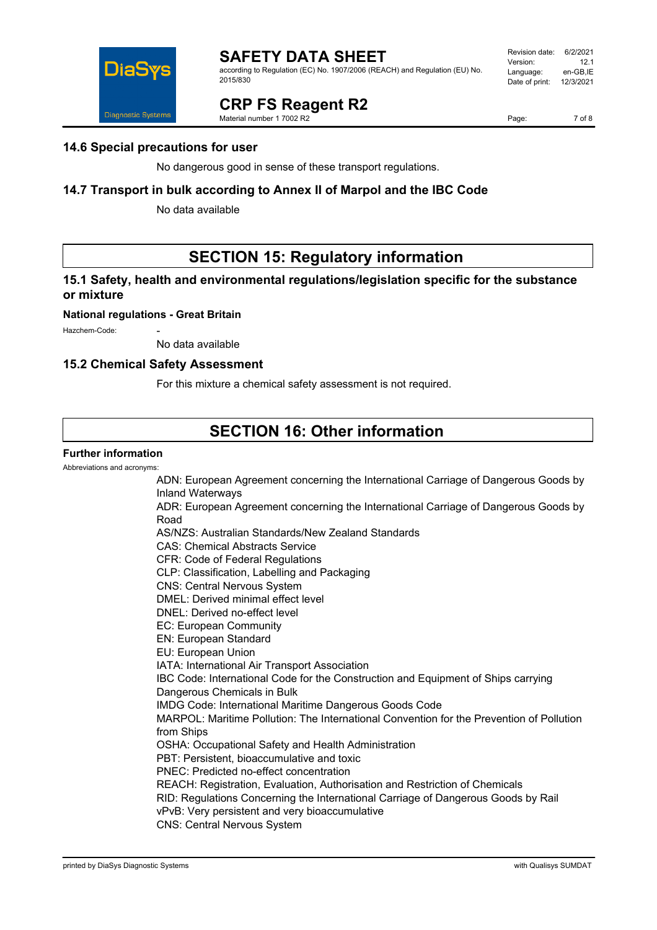

according to Regulation (EC) No. 1907/2006 (REACH) and Regulation (EU) No. 2015/830

#### Revision date: 6/2/2021 Version: 12.1<br>Language: en-GB IE Language: Date of print: 12/3/2021

**CRP FS Reagent R2**

Material number 1 7002 R2

Page: 7 of 8

### **14.6 Special precautions for user**

No dangerous good in sense of these transport regulations.

### **14.7 Transport in bulk according to Annex II of Marpol and the IBC Code**

No data available

# **SECTION 15: Regulatory information**

### **15.1 Safety, health and environmental regulations/legislation specific for the substance or mixture**

#### **National regulations - Great Britain**

Hazchem-Code:

No data available

### **15.2 Chemical Safety Assessment**

For this mixture a chemical safety assessment is not required.

## **SECTION 16: Other information**

### **Further information**

Abbreviations and acronyms:

ADN: European Agreement concerning the International Carriage of Dangerous Goods by Inland Waterways ADR: European Agreement concerning the International Carriage of Dangerous Goods by Road AS/NZS: Australian Standards/New Zealand Standards CAS: Chemical Abstracts Service CFR: Code of Federal Regulations CLP: Classification, Labelling and Packaging CNS: Central Nervous System DMEL: Derived minimal effect level DNEL: Derived no-effect level EC: European Community EN: European Standard EU: European Union IATA: International Air Transport Association IBC Code: International Code for the Construction and Equipment of Ships carrying Dangerous Chemicals in Bulk IMDG Code: International Maritime Dangerous Goods Code MARPOL: Maritime Pollution: The International Convention for the Prevention of Pollution from Ships OSHA: Occupational Safety and Health Administration PBT: Persistent, bioaccumulative and toxic PNEC: Predicted no-effect concentration REACH: Registration, Evaluation, Authorisation and Restriction of Chemicals RID: Regulations Concerning the International Carriage of Dangerous Goods by Rail vPvB: Very persistent and very bioaccumulative CNS: Central Nervous System